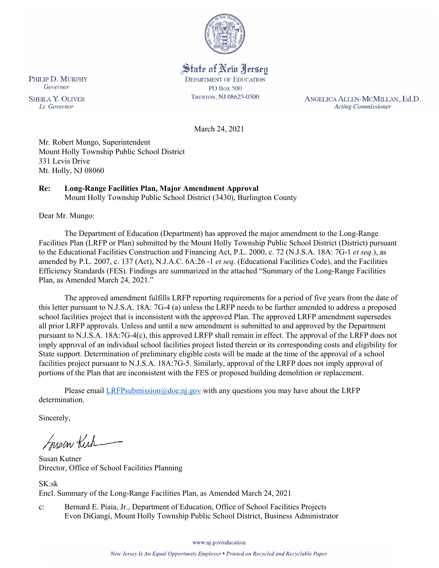

State of New Jersey **DEPARTMENT OF EDUCATION PO Box 500** TRENTON, NJ 08625-0500

ANGELICA ALLEN-MCMILLAN, Ed.D. **Acting Commissioner** 

March 24, 2021

Mr. Robert Mungo, Superintendent Mount Holly Township Public School District 331 Levis Drive Mt. Holly, NJ 08060

## **Re: Long-Range Facilities Plan, Major Amendment Approval**

Mount Holly Township Public School District (3430), Burlington County

Dear Mr. Mungo:

The Department of Education (Department) has approved the major amendment to the Long-Range Facilities Plan (LRFP or Plan) submitted by the Mount Holly Township Public School District (District) pursuant to the Educational Facilities Construction and Financing Act, P.L. 2000, c. 72 (N.J.S.A. 18A: 7G-1 *et seq.*), as amended by P.L. 2007, c. 137 (Act), N.J.A.C. 6A:26 -1 *et seq.* (Educational Facilities Code), and the Facilities Efficiency Standards (FES). Findings are summarized in the attached "Summary of the Long-Range Facilities Plan, as Amended March 24, 2021."

The approved amendment fulfills LRFP reporting requirements for a period of five years from the date of this letter pursuant to N.J.S.A. 18A: 7G-4 (a) unless the LRFP needs to be further amended to address a proposed school facilities project that is inconsistent with the approved Plan. The approved LRFP amendment supersedes all prior LRFP approvals. Unless and until a new amendment is submitted to and approved by the Department pursuant to N.J.S.A. 18A:7G-4(c), this approved LRFP shall remain in effect. The approval of the LRFP does not imply approval of an individual school facilities project listed therein or its corresponding costs and eligibility for State support. Determination of preliminary eligible costs will be made at the time of the approval of a school facilities project pursuant to N.J.S.A. 18A:7G-5. Similarly, approval of the LRFP does not imply approval of portions of the Plan that are inconsistent with the FES or proposed building demolition or replacement.

Please email  $LRFP submission@doe.nj.gov$  with any questions you may have about the LRFP determination.

Sincerely,

Susan Kich

Susan Kutner Director, Office of School Facilities Planning

SK:sk Encl. Summary of the Long-Range Facilities Plan, as Amended March 24, 2021

c: Bernard E. Piaia, Jr., Department of Education, Office of School Facilities Projects Evon DiGangi, Mount Holly Township Public School District, Business Administrator

www.nj.gov/education

PHILIP D. MURPHY Governor

**SHEILA Y. OLIVER** Lt. Governor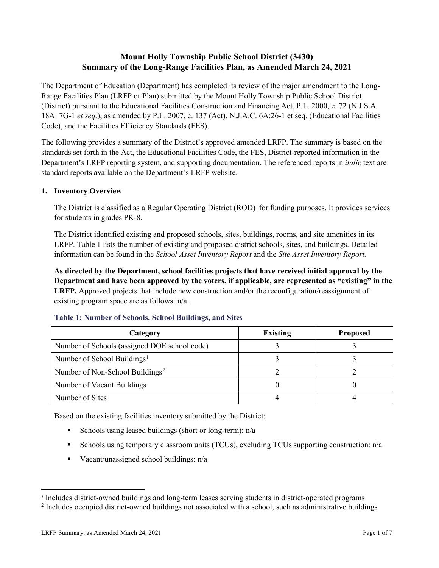# **Mount Holly Township Public School District (3430) Summary of the Long-Range Facilities Plan, as Amended March 24, 2021**

The Department of Education (Department) has completed its review of the major amendment to the Long-Range Facilities Plan (LRFP or Plan) submitted by the Mount Holly Township Public School District (District) pursuant to the Educational Facilities Construction and Financing Act, P.L. 2000, c. 72 (N.J.S.A. 18A: 7G-1 *et seq.*), as amended by P.L. 2007, c. 137 (Act), N.J.A.C. 6A:26-1 et seq. (Educational Facilities Code), and the Facilities Efficiency Standards (FES).

The following provides a summary of the District's approved amended LRFP. The summary is based on the standards set forth in the Act, the Educational Facilities Code, the FES, District-reported information in the Department's LRFP reporting system, and supporting documentation. The referenced reports in *italic* text are standard reports available on the Department's LRFP website.

## **1. Inventory Overview**

The District is classified as a Regular Operating District (ROD) for funding purposes. It provides services for students in grades PK-8.

The District identified existing and proposed schools, sites, buildings, rooms, and site amenities in its LRFP. Table 1 lists the number of existing and proposed district schools, sites, and buildings. Detailed information can be found in the *School Asset Inventory Report* and the *Site Asset Inventory Report.*

**As directed by the Department, school facilities projects that have received initial approval by the Department and have been approved by the voters, if applicable, are represented as "existing" in the LRFP.** Approved projects that include new construction and/or the reconfiguration/reassignment of existing program space are as follows: n/a.

| Category                                     | <b>Existing</b> | <b>Proposed</b> |
|----------------------------------------------|-----------------|-----------------|
| Number of Schools (assigned DOE school code) |                 |                 |
| Number of School Buildings <sup>1</sup>      |                 |                 |
| Number of Non-School Buildings <sup>2</sup>  |                 |                 |
| Number of Vacant Buildings                   |                 |                 |
| Number of Sites                              |                 |                 |

#### **Table 1: Number of Schools, School Buildings, and Sites**

Based on the existing facilities inventory submitted by the District:

- Schools using leased buildings (short or long-term):  $n/a$
- Schools using temporary classroom units (TCUs), excluding TCUs supporting construction: n/a
- Vacant/unassigned school buildings:  $n/a$

 $\overline{a}$ 

<span id="page-1-1"></span><span id="page-1-0"></span>*<sup>1</sup>* Includes district-owned buildings and long-term leases serving students in district-operated programs

<sup>&</sup>lt;sup>2</sup> Includes occupied district-owned buildings not associated with a school, such as administrative buildings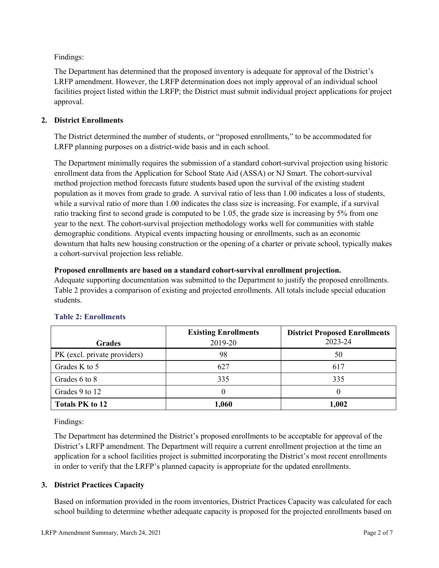Findings:

The Department has determined that the proposed inventory is adequate for approval of the District's LRFP amendment. However, the LRFP determination does not imply approval of an individual school facilities project listed within the LRFP; the District must submit individual project applications for project approval.

## **2. District Enrollments**

The District determined the number of students, or "proposed enrollments," to be accommodated for LRFP planning purposes on a district-wide basis and in each school.

The Department minimally requires the submission of a standard cohort-survival projection using historic enrollment data from the Application for School State Aid (ASSA) or NJ Smart. The cohort-survival method projection method forecasts future students based upon the survival of the existing student population as it moves from grade to grade. A survival ratio of less than 1.00 indicates a loss of students, while a survival ratio of more than 1.00 indicates the class size is increasing. For example, if a survival ratio tracking first to second grade is computed to be 1.05, the grade size is increasing by 5% from one year to the next. The cohort-survival projection methodology works well for communities with stable demographic conditions. Atypical events impacting housing or enrollments, such as an economic downturn that halts new housing construction or the opening of a charter or private school, typically makes a cohort-survival projection less reliable.

#### **Proposed enrollments are based on a standard cohort-survival enrollment projection.**

Adequate supporting documentation was submitted to the Department to justify the proposed enrollments. Table 2 provides a comparison of existing and projected enrollments. All totals include special education students.

|                              | <b>Existing Enrollments</b> | <b>District Proposed Enrollments</b> |
|------------------------------|-----------------------------|--------------------------------------|
| <b>Grades</b>                | 2019-20                     | 2023-24                              |
| PK (excl. private providers) | 98                          | 50                                   |
| Grades K to 5                | 627                         | 617                                  |
| Grades 6 to 8                | 335                         | 335                                  |
| Grades 9 to 12               |                             |                                      |
| <b>Totals PK to 12</b>       | 1,060                       | 1,002                                |

## **Table 2: Enrollments**

Findings:

The Department has determined the District's proposed enrollments to be acceptable for approval of the District's LRFP amendment. The Department will require a current enrollment projection at the time an application for a school facilities project is submitted incorporating the District's most recent enrollments in order to verify that the LRFP's planned capacity is appropriate for the updated enrollments.

## **3. District Practices Capacity**

Based on information provided in the room inventories, District Practices Capacity was calculated for each school building to determine whether adequate capacity is proposed for the projected enrollments based on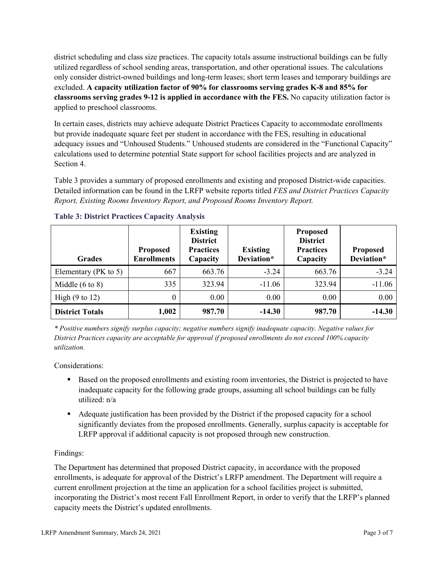district scheduling and class size practices. The capacity totals assume instructional buildings can be fully utilized regardless of school sending areas, transportation, and other operational issues. The calculations only consider district-owned buildings and long-term leases; short term leases and temporary buildings are excluded. **A capacity utilization factor of 90% for classrooms serving grades K-8 and 85% for classrooms serving grades 9-12 is applied in accordance with the FES.** No capacity utilization factor is applied to preschool classrooms.

In certain cases, districts may achieve adequate District Practices Capacity to accommodate enrollments but provide inadequate square feet per student in accordance with the FES, resulting in educational adequacy issues and "Unhoused Students." Unhoused students are considered in the "Functional Capacity" calculations used to determine potential State support for school facilities projects and are analyzed in Section 4.

Table 3 provides a summary of proposed enrollments and existing and proposed District-wide capacities. Detailed information can be found in the LRFP website reports titled *FES and District Practices Capacity Report, Existing Rooms Inventory Report, and Proposed Rooms Inventory Report.*

| <b>Grades</b>              | <b>Proposed</b><br><b>Enrollments</b> | <b>Existing</b><br><b>District</b><br><b>Practices</b><br>Capacity | <b>Existing</b><br>Deviation* | <b>Proposed</b><br><b>District</b><br><b>Practices</b><br>Capacity | <b>Proposed</b><br>Deviation* |
|----------------------------|---------------------------------------|--------------------------------------------------------------------|-------------------------------|--------------------------------------------------------------------|-------------------------------|
| Elementary ( $PK$ to 5)    | 667                                   | 663.76                                                             | $-3.24$                       | 663.76                                                             | $-3.24$                       |
| Middle $(6 \text{ to } 8)$ | 335                                   | 323.94                                                             | $-11.06$                      | 323.94                                                             | $-11.06$                      |
| High $(9 \text{ to } 12)$  | $\theta$                              | 0.00                                                               | 0.00                          | 0.00                                                               | 0.00                          |
| <b>District Totals</b>     | 1,002                                 | 987.70                                                             | $-14.30$                      | 987.70                                                             | $-14.30$                      |

## **Table 3: District Practices Capacity Analysis**

*\* Positive numbers signify surplus capacity; negative numbers signify inadequate capacity. Negative values for District Practices capacity are acceptable for approval if proposed enrollments do not exceed 100% capacity utilization.*

Considerations:

- **Based on the proposed enrollments and existing room inventories, the District is projected to have** inadequate capacity for the following grade groups, assuming all school buildings can be fully utilized: n/a
- Adequate justification has been provided by the District if the proposed capacity for a school significantly deviates from the proposed enrollments. Generally, surplus capacity is acceptable for LRFP approval if additional capacity is not proposed through new construction.

## Findings:

The Department has determined that proposed District capacity, in accordance with the proposed enrollments, is adequate for approval of the District's LRFP amendment. The Department will require a current enrollment projection at the time an application for a school facilities project is submitted, incorporating the District's most recent Fall Enrollment Report, in order to verify that the LRFP's planned capacity meets the District's updated enrollments.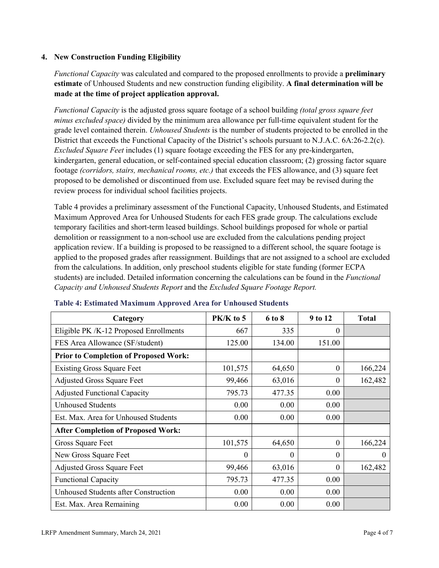## **4. New Construction Funding Eligibility**

*Functional Capacity* was calculated and compared to the proposed enrollments to provide a **preliminary estimate** of Unhoused Students and new construction funding eligibility. **A final determination will be made at the time of project application approval.**

*Functional Capacity* is the adjusted gross square footage of a school building *(total gross square feet minus excluded space)* divided by the minimum area allowance per full-time equivalent student for the grade level contained therein. *Unhoused Students* is the number of students projected to be enrolled in the District that exceeds the Functional Capacity of the District's schools pursuant to N.J.A.C. 6A:26-2.2(c). *Excluded Square Feet* includes (1) square footage exceeding the FES for any pre-kindergarten, kindergarten, general education, or self-contained special education classroom; (2) grossing factor square footage *(corridors, stairs, mechanical rooms, etc.)* that exceeds the FES allowance, and (3) square feet proposed to be demolished or discontinued from use. Excluded square feet may be revised during the review process for individual school facilities projects.

Table 4 provides a preliminary assessment of the Functional Capacity, Unhoused Students, and Estimated Maximum Approved Area for Unhoused Students for each FES grade group. The calculations exclude temporary facilities and short-term leased buildings. School buildings proposed for whole or partial demolition or reassignment to a non-school use are excluded from the calculations pending project application review. If a building is proposed to be reassigned to a different school, the square footage is applied to the proposed grades after reassignment. Buildings that are not assigned to a school are excluded from the calculations. In addition, only preschool students eligible for state funding (former ECPA students) are included. Detailed information concerning the calculations can be found in the *Functional Capacity and Unhoused Students Report* and the *Excluded Square Footage Report.*

| Category                                     | PK/K to 5 | 6 to 8   | 9 to 12  | <b>Total</b> |
|----------------------------------------------|-----------|----------|----------|--------------|
| Eligible PK /K-12 Proposed Enrollments       | 667       | 335      | 0        |              |
| FES Area Allowance (SF/student)              | 125.00    | 134.00   | 151.00   |              |
| <b>Prior to Completion of Proposed Work:</b> |           |          |          |              |
| <b>Existing Gross Square Feet</b>            | 101,575   | 64,650   | $\theta$ | 166,224      |
| <b>Adjusted Gross Square Feet</b>            | 99,466    | 63,016   | $\theta$ | 162,482      |
| <b>Adjusted Functional Capacity</b>          | 795.73    | 477.35   | 0.00     |              |
| <b>Unhoused Students</b>                     | 0.00      | 0.00     | 0.00     |              |
| Est. Max. Area for Unhoused Students         | 0.00      | 0.00     | 0.00     |              |
| <b>After Completion of Proposed Work:</b>    |           |          |          |              |
| Gross Square Feet                            | 101,575   | 64,650   | $\theta$ | 166,224      |
| New Gross Square Feet                        | $\Omega$  | $\Omega$ | $\Omega$ | $\theta$     |
| <b>Adjusted Gross Square Feet</b>            | 99,466    | 63,016   | $\Omega$ | 162,482      |
| <b>Functional Capacity</b>                   | 795.73    | 477.35   | 0.00     |              |
| <b>Unhoused Students after Construction</b>  | 0.00      | 0.00     | 0.00     |              |
| Est. Max. Area Remaining                     | 0.00      | 0.00     | 0.00     |              |

#### **Table 4: Estimated Maximum Approved Area for Unhoused Students**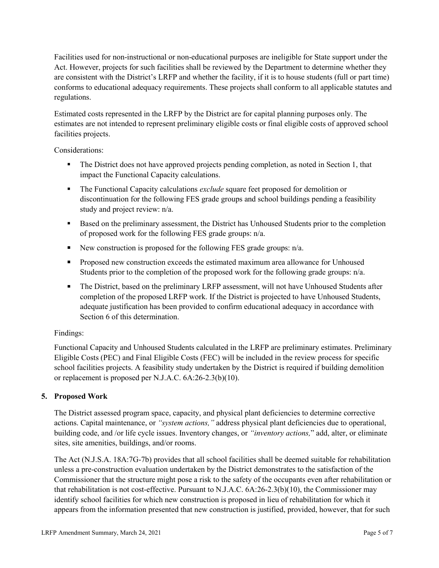Facilities used for non-instructional or non-educational purposes are ineligible for State support under the Act. However, projects for such facilities shall be reviewed by the Department to determine whether they are consistent with the District's LRFP and whether the facility, if it is to house students (full or part time) conforms to educational adequacy requirements. These projects shall conform to all applicable statutes and regulations.

Estimated costs represented in the LRFP by the District are for capital planning purposes only. The estimates are not intended to represent preliminary eligible costs or final eligible costs of approved school facilities projects.

Considerations:

- The District does not have approved projects pending completion, as noted in Section 1, that impact the Functional Capacity calculations.
- **The Functional Capacity calculations** *exclude* square feet proposed for demolition or discontinuation for the following FES grade groups and school buildings pending a feasibility study and project review: n/a.
- Based on the preliminary assessment, the District has Unhoused Students prior to the completion of proposed work for the following FES grade groups: n/a.
- New construction is proposed for the following FES grade groups: n/a.
- Proposed new construction exceeds the estimated maximum area allowance for Unhoused Students prior to the completion of the proposed work for the following grade groups: n/a.
- The District, based on the preliminary LRFP assessment, will not have Unhoused Students after completion of the proposed LRFP work. If the District is projected to have Unhoused Students, adequate justification has been provided to confirm educational adequacy in accordance with Section 6 of this determination.

## Findings:

Functional Capacity and Unhoused Students calculated in the LRFP are preliminary estimates. Preliminary Eligible Costs (PEC) and Final Eligible Costs (FEC) will be included in the review process for specific school facilities projects. A feasibility study undertaken by the District is required if building demolition or replacement is proposed per N.J.A.C. 6A:26-2.3(b)(10).

# **5. Proposed Work**

The District assessed program space, capacity, and physical plant deficiencies to determine corrective actions. Capital maintenance, or *"system actions,"* address physical plant deficiencies due to operational, building code, and /or life cycle issues. Inventory changes, or *"inventory actions,*" add, alter, or eliminate sites, site amenities, buildings, and/or rooms.

The Act (N.J.S.A. 18A:7G-7b) provides that all school facilities shall be deemed suitable for rehabilitation unless a pre-construction evaluation undertaken by the District demonstrates to the satisfaction of the Commissioner that the structure might pose a risk to the safety of the occupants even after rehabilitation or that rehabilitation is not cost-effective. Pursuant to N.J.A.C. 6A:26-2.3(b)(10), the Commissioner may identify school facilities for which new construction is proposed in lieu of rehabilitation for which it appears from the information presented that new construction is justified, provided, however, that for such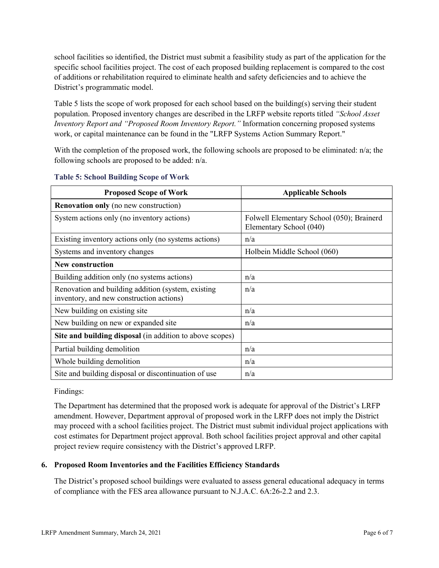school facilities so identified, the District must submit a feasibility study as part of the application for the specific school facilities project. The cost of each proposed building replacement is compared to the cost of additions or rehabilitation required to eliminate health and safety deficiencies and to achieve the District's programmatic model.

Table 5 lists the scope of work proposed for each school based on the building(s) serving their student population. Proposed inventory changes are described in the LRFP website reports titled *"School Asset Inventory Report and "Proposed Room Inventory Report."* Information concerning proposed systems work, or capital maintenance can be found in the "LRFP Systems Action Summary Report."

With the completion of the proposed work, the following schools are proposed to be eliminated:  $n/a$ ; the following schools are proposed to be added: n/a.

| <b>Proposed Scope of Work</b>                                                                  | <b>Applicable Schools</b>                                            |
|------------------------------------------------------------------------------------------------|----------------------------------------------------------------------|
| <b>Renovation only</b> (no new construction)                                                   |                                                                      |
| System actions only (no inventory actions)                                                     | Folwell Elementary School (050); Brainerd<br>Elementary School (040) |
| Existing inventory actions only (no systems actions)                                           | n/a                                                                  |
| Systems and inventory changes                                                                  | Holbein Middle School (060)                                          |
| <b>New construction</b>                                                                        |                                                                      |
| Building addition only (no systems actions)                                                    | n/a                                                                  |
| Renovation and building addition (system, existing<br>inventory, and new construction actions) | n/a                                                                  |
| New building on existing site.                                                                 | n/a                                                                  |
| New building on new or expanded site                                                           | n/a                                                                  |
| Site and building disposal (in addition to above scopes)                                       |                                                                      |
| Partial building demolition                                                                    | n/a                                                                  |
| Whole building demolition                                                                      | n/a                                                                  |
| Site and building disposal or discontinuation of use                                           | n/a                                                                  |

#### **Table 5: School Building Scope of Work**

Findings:

The Department has determined that the proposed work is adequate for approval of the District's LRFP amendment. However, Department approval of proposed work in the LRFP does not imply the District may proceed with a school facilities project. The District must submit individual project applications with cost estimates for Department project approval. Both school facilities project approval and other capital project review require consistency with the District's approved LRFP.

## **6. Proposed Room Inventories and the Facilities Efficiency Standards**

The District's proposed school buildings were evaluated to assess general educational adequacy in terms of compliance with the FES area allowance pursuant to N.J.A.C. 6A:26-2.2 and 2.3.